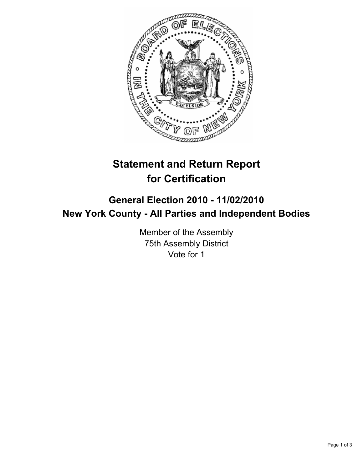

## **Statement and Return Report for Certification**

## **General Election 2010 - 11/02/2010 New York County - All Parties and Independent Bodies**

Member of the Assembly 75th Assembly District Vote for 1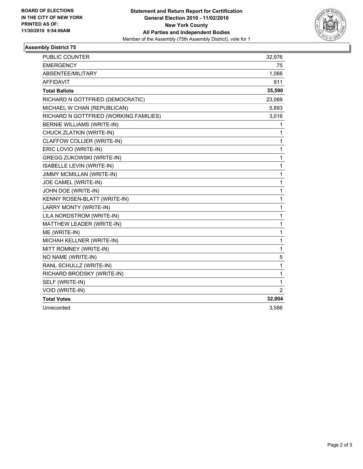

## **Assembly District 75**

| PUBLIC COUNTER                         | 32,976         |
|----------------------------------------|----------------|
| <b>EMERGENCY</b>                       | 75             |
| ABSENTEE/MILITARY                      | 1,066          |
| <b>AFFIDAVIT</b>                       | 911            |
| <b>Total Ballots</b>                   | 35,590         |
| RICHARD N GOTTFRIED (DEMOCRATIC)       | 23,069         |
| MICHAEL W CHAN (REPUBLICAN)            | 5,893          |
| RICHARD N GOTTFRIED (WORKING FAMILIES) | 3,016          |
| <b>BERNIE WILLIAMS (WRITE-IN)</b>      | 1              |
| CHUCK ZLATKIN (WRITE-IN)               | 1              |
| CLAFFOW COLLIER (WRITE-IN)             | 1              |
| ERIC LOVIO (WRITE-IN)                  | 1              |
| GREGG ZUKOWSKI (WRITE-IN)              | 1              |
| ISABELLE LEVIN (WRITE-IN)              | 1              |
| JIMMY MCMILLAN (WRITE-IN)              | 1              |
| JOE CAMEL (WRITE-IN)                   | 1              |
| JOHN DOE (WRITE-IN)                    | 1              |
| KENNY ROSEN-BLATT (WRITE-IN)           | 1              |
| LARRY MONTY (WRITE-IN)                 | 1              |
| LILA NORDSTROM (WRITE-IN)              | 1              |
| MATTHEW LEADER (WRITE-IN)              | 1              |
| ME (WRITE-IN)                          | 1              |
| MICHAH KELLNER (WRITE-IN)              | 1              |
| MITT ROMNEY (WRITE-IN)                 | 1              |
| NO NAME (WRITE-IN)                     | 5              |
| RANL SCHULLZ (WRITE-IN)                | 1              |
| RICHARD BRODSKY (WRITE-IN)             | 1              |
| SELF (WRITE-IN)                        | 1              |
| VOID (WRITE-IN)                        | $\overline{2}$ |
| <b>Total Votes</b>                     | 32,004         |
| Unrecorded                             | 3,586          |